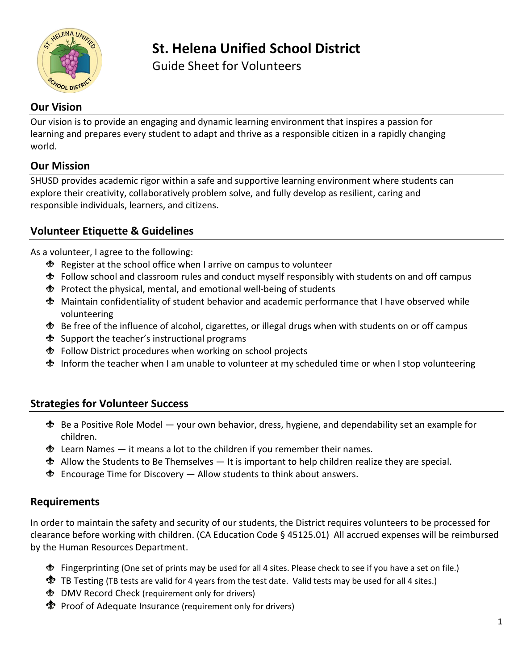

# **St. Helena Unified School District**

Guide Sheet for Volunteers

## **Our Vision**

Our vision is to provide an engaging and dynamic learning environment that inspires a passion for learning and prepares every student to adapt and thrive as a responsible citizen in a rapidly changing world.

#### **Our Mission**

SHUSD provides academic rigor within a safe and supportive learning environment where students can explore their creativity, collaboratively problem solve, and fully develop as resilient, caring and responsible individuals, learners, and citizens.

## **Volunteer Etiquette & Guidelines**

As a volunteer, I agree to the following:

- $\triangle$  Register at the school office when I arrive on campus to volunteer
- Follow school and classroom rules and conduct myself responsibly with students on and off campus
- $\triangle$  Protect the physical, mental, and emotional well-being of students
- Maintain confidentiality of student behavior and academic performance that I have observed while volunteering
- Be free of the influence of alcohol, cigarettes, or illegal drugs when with students on or off campus
- $\triangle$  Support the teacher's instructional programs
- Follow District procedures when working on school projects
- Inform the teacher when I am unable to volunteer at my scheduled time or when I stop volunteering

### **Strategies for Volunteer Success**

- $\clubsuit$  Be a Positive Role Model your own behavior, dress, hygiene, and dependability set an example for children.
- $\clubsuit$  Learn Names it means a lot to the children if you remember their names.
- $\clubsuit$  Allow the Students to Be Themselves It is important to help children realize they are special.
- $\triangleleft$  Encourage Time for Discovery  $-$  Allow students to think about answers.

### **Requirements**

In order to maintain the safety and security of our students, the District requires volunteers to be processed for clearance before working with children. (CA Education Code § 45125.01) All accrued expenses will be reimbursed by the Human Resources Department.

- Fingerprinting (One set of prints may be used for all 4 sites. Please check to see if you have a set on file.)
- **T** TB Testing (TB tests are valid for 4 years from the test date. Valid tests may be used for all 4 sites.)
- DMV Record Check (requirement only for drivers)
- **Proof of Adequate Insurance (requirement only for drivers)**